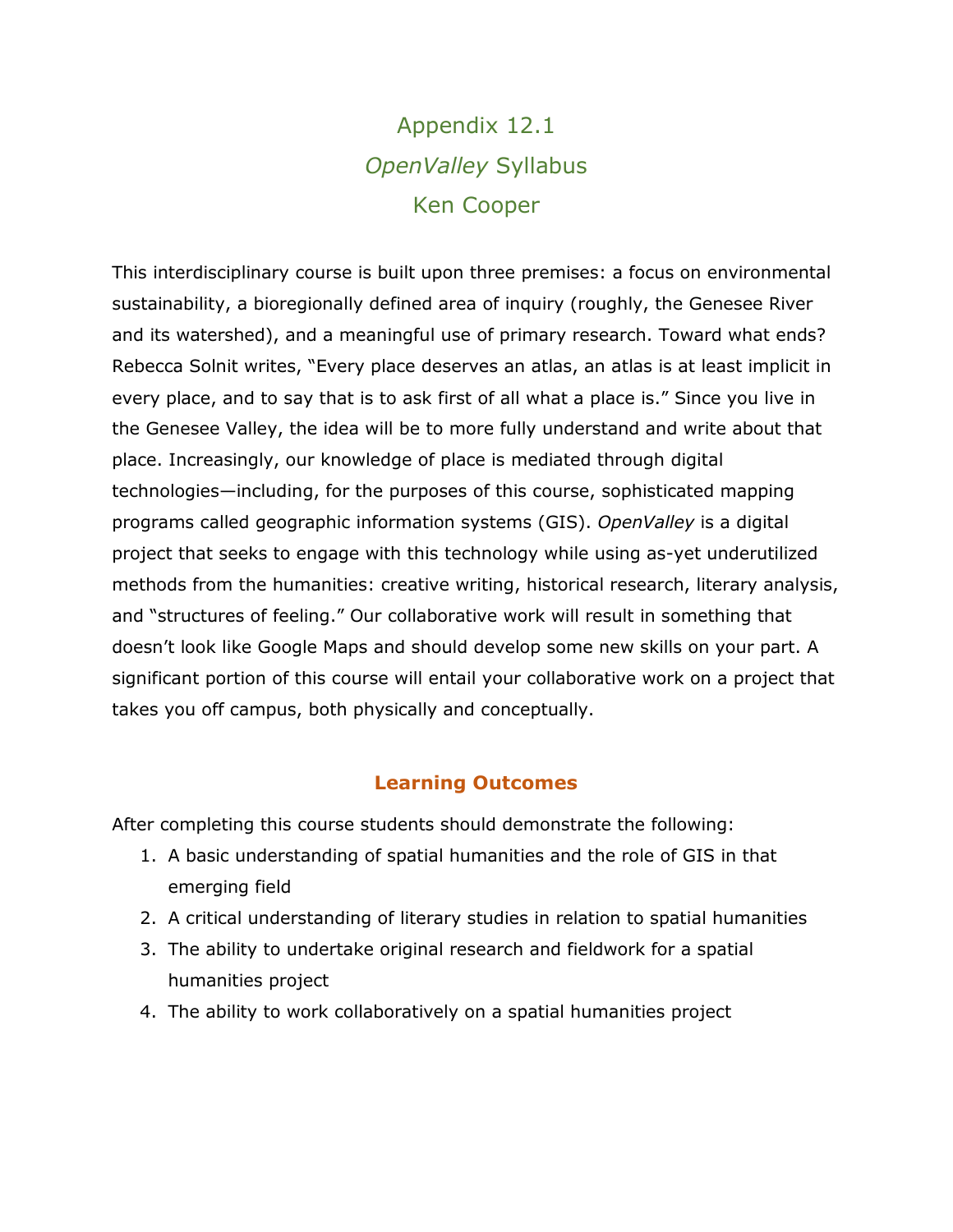# Appendix 12.1 *OpenValley* Syllabus Ken Cooper

This interdisciplinary course is built upon three premises: a focus on environmental sustainability, a bioregionally defined area of inquiry (roughly, the Genesee River and its watershed), and a meaningful use of primary research. Toward what ends? Rebecca Solnit writes, "Every place deserves an atlas, an atlas is at least implicit in every place, and to say that is to ask first of all what a place is." Since you live in the Genesee Valley, the idea will be to more fully understand and write about that place. Increasingly, our knowledge of place is mediated through digital technologies—including, for the purposes of this course, sophisticated mapping programs called geographic information systems (GIS). *OpenValley* is a digital project that seeks to engage with this technology while using as-yet underutilized methods from the humanities: creative writing, historical research, literary analysis, and "structures of feeling." Our collaborative work will result in something that doesn't look like Google Maps and should develop some new skills on your part. A significant portion of this course will entail your collaborative work on a project that takes you off campus, both physically and conceptually.

## **Learning Outcomes**

After completing this course students should demonstrate the following:

- 1. A basic understanding of spatial humanities and the role of GIS in that emerging field
- 2. A critical understanding of literary studies in relation to spatial humanities
- 3. The ability to undertake original research and fieldwork for a spatial humanities project
- 4. The ability to work collaboratively on a spatial humanities project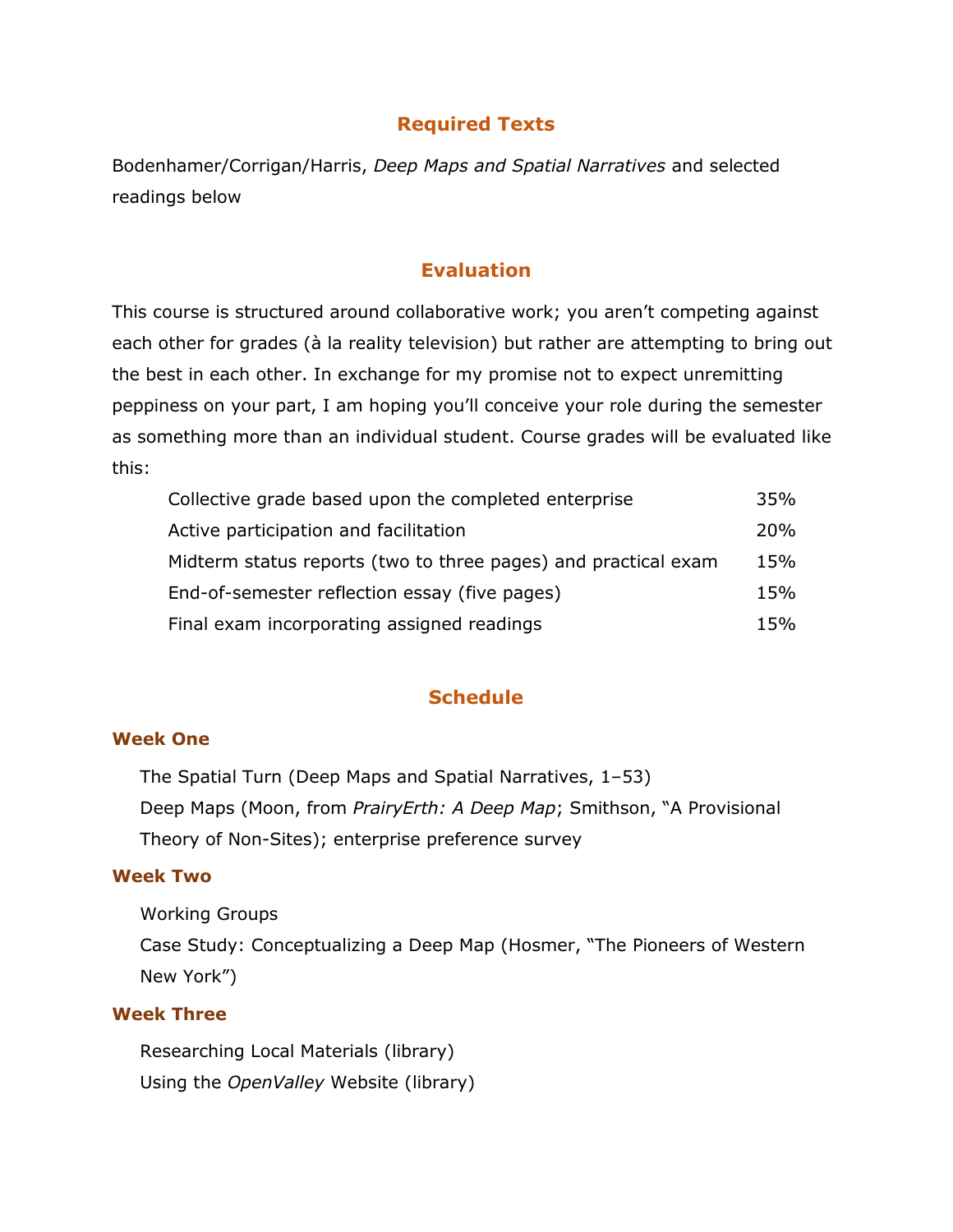# **Required Texts**

Bodenhamer/Corrigan/Harris, *Deep Maps and Spatial Narratives* and selected readings below

## **Evaluation**

This course is structured around collaborative work; you aren't competing against each other for grades (à la reality television) but rather are attempting to bring out the best in each other. In exchange for my promise not to expect unremitting peppiness on your part, I am hoping you'll conceive your role during the semester as something more than an individual student. Course grades will be evaluated like this:

| Collective grade based upon the completed enterprise           | 35%             |
|----------------------------------------------------------------|-----------------|
| Active participation and facilitation                          | 20 <sub>%</sub> |
| Midterm status reports (two to three pages) and practical exam | 15%             |
| End-of-semester reflection essay (five pages)                  | 15%             |
| Final exam incorporating assigned readings                     | 15%             |

## **Schedule**

#### **Week One**

The Spatial Turn (Deep Maps and Spatial Narratives, 1–53) Deep Maps (Moon, from *PrairyErth: A Deep Map*; Smithson, "A Provisional Theory of Non-Sites); enterprise preference survey

#### **Week Two**

Working Groups

Case Study: Conceptualizing a Deep Map (Hosmer, "The Pioneers of Western New York")

## **Week Three**

Researching Local Materials (library) Using the *OpenValley* Website (library)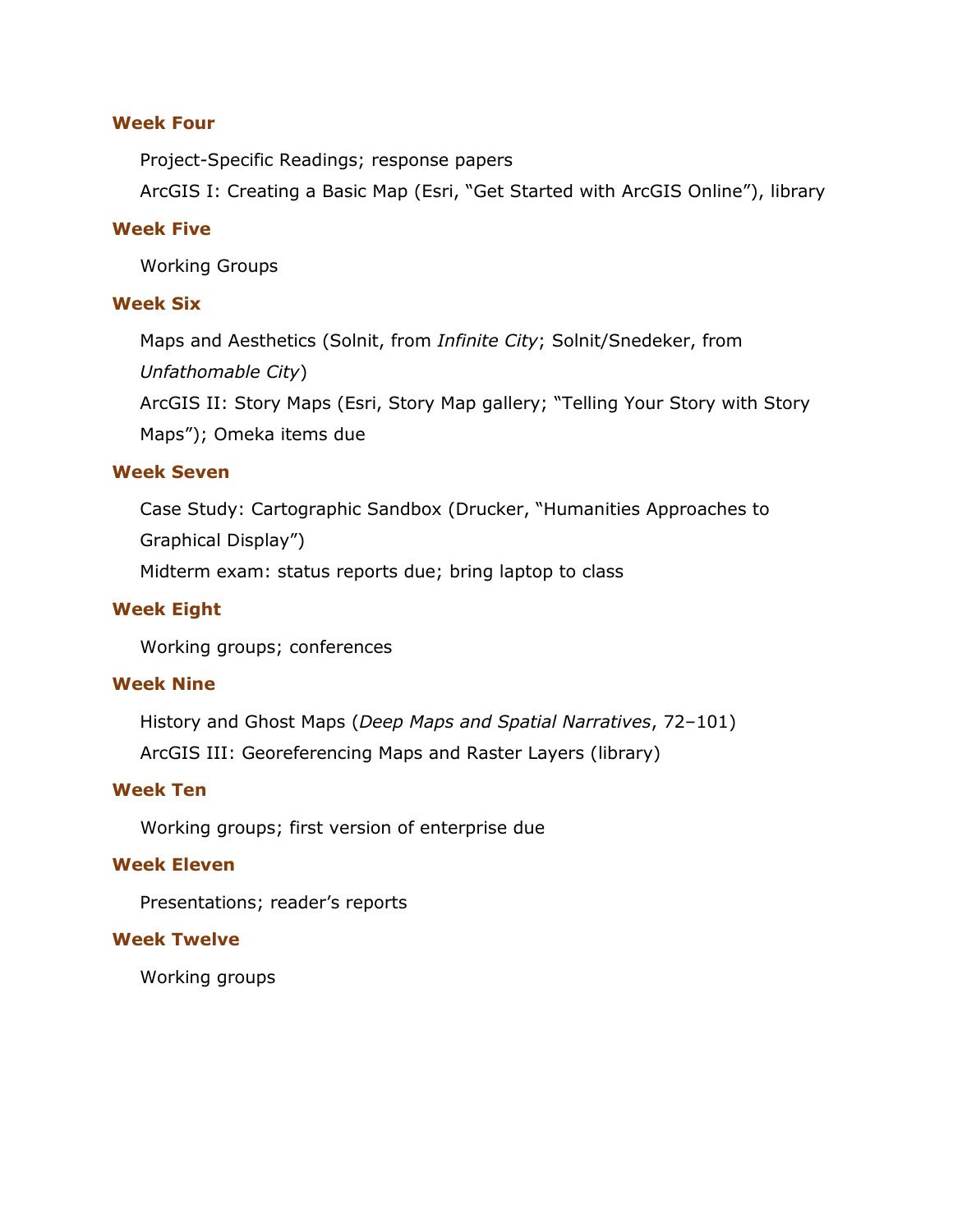### **Week Four**

Project-Specific Readings; response papers

ArcGIS I: Creating a Basic Map (Esri, "Get Started with ArcGIS Online"), library

#### **Week Five**

Working Groups

#### **Week Six**

Maps and Aesthetics (Solnit, from *Infinite City*; Solnit/Snedeker, from *Unfathomable City*)

ArcGIS II: Story Maps (Esri, Story Map gallery; "Telling Your Story with Story Maps"); Omeka items due

## **Week Seven**

Case Study: Cartographic Sandbox (Drucker, "Humanities Approaches to Graphical Display")

Midterm exam: status reports due; bring laptop to class

## **Week Eight**

Working groups; conferences

#### **Week Nine**

History and Ghost Maps (*Deep Maps and Spatial Narratives*, 72–101) ArcGIS III: Georeferencing Maps and Raster Layers (library)

### **Week Ten**

Working groups; first version of enterprise due

## **Week Eleven**

Presentations; reader's reports

#### **Week Twelve**

Working groups